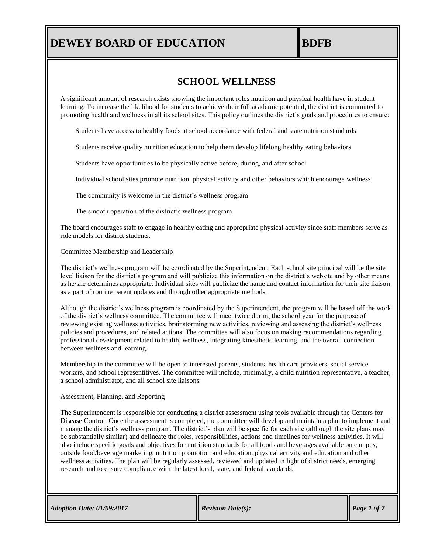## **BDFB**

## **SCHOOL WELLNESS**

A significant amount of research exists showing the important roles nutrition and physical health have in student learning. To increase the likelihood for students to achieve their full academic potential, the district is committed to promoting health and wellness in all its school sites. This policy outlines the district's goals and procedures to ensure:

Students have access to healthy foods at school accordance with federal and state nutrition standards

Students receive quality nutrition education to help them develop lifelong healthy eating behaviors

Students have opportunities to be physically active before, during, and after school

Individual school sites promote nutrition, physical activity and other behaviors which encourage wellness

The community is welcome in the district's wellness program

The smooth operation of the district's wellness program

The board encourages staff to engage in healthy eating and appropriate physical activity since staff members serve as role models for district students.

### Committee Membership and Leadership

The district's wellness program will be coordinated by the Superintendent. Each school site principal will be the site level liaison for the district's program and will publicize this information on the district's website and by other means as he/she determines appropriate. Individual sites will publicize the name and contact information for their site liaison as a part of routine parent updates and through other appropriate methods.

Although the district's wellness program is coordinated by the Superintendent, the program will be based off the work of the district's wellness committee. The committee will meet twice during the school year for the purpose of reviewing existing wellness activities, brainstorming new activities, reviewing and assessing the district's wellness policies and procedures, and related actions. The committee will also focus on making recommendations regarding professional development related to health, wellness, integrating kinesthetic learning, and the overall connection between wellness and learning.

Membership in the committee will be open to interested parents, students, health care providers, social service workers, and school representitives. The committee will include, minimally, a child nutrition representative, a teacher, a school administrator, and all school site liaisons.

### Assessment, Planning, and Reporting

The Superintendent is responsible for conducting a district assessment using tools available through the Centers for Disease Control. Once the assessment is completed, the committee will develop and maintain a plan to implement and manage the district's wellness program. The district's plan will be specific for each site (although the site plans may be substantially similar) and delineate the roles, responsibilities, actions and timelines for wellness activities. It will also include specific goals and objectives for nutrition standards for all foods and beverages available on campus, outside food/beverage marketing, nutrition promotion and education, physical activity and education and other wellness activities. The plan will be regularly assessed, reviewed and updated in light of district needs, emerging research and to ensure compliance with the latest local, state, and federal standards.

*Adoption Date: 01/09/2017 Revision Date(s): Page 1 of 7*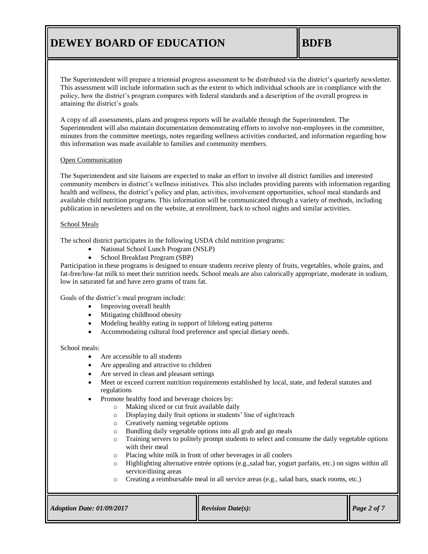The Superintendent will prepare a triennial progress assessment to be distributed via the district's quarterly newsletter. This assessment will include information such as the extent to which individual schools are in compliance with the policy, how the district's program compares with federal standards and a description of the overall progress in attaining the district's goals.

A copy of all assessments, plans and progress reports will be available through the Superintendent. The Superintendent will also maintain documentation demonstrating efforts to involve non-employees in the committee, minutes from the committee meetings, notes regarding wellness activities conducted, and information regarding how this information was made available to families and community members.

## Open Communication

The Superintendent and site liaisons are expected to make an effort to involve all district families and interested community members in district's wellness initiatives. This also includes providing parents with information regarding health and wellness, the district's policy and plan, activities, involvement opportunities, school meal standards and available child nutrition programs. This information will be communicated through a variety of methods, including publication in newsletters and on the website, at enrollment, back to school nights and similar activities.

## School Meals

The school district participates in the following USDA child nutrition programs:

- National School Lunch Program (NSLP)
- School Breakfast Program (SBP)

Participation in these programs is designed to ensure students receive plenty of fruits, vegetables, whole grains, and fat-free/low-fat milk to meet their nutrition needs. School meals are also calorically appropriate, moderate in sodium, low in saturated fat and have zero grams of trans fat.

Goals of the district's meal program include:

- Improving overall health
- Mitigating childhood obesity
- Modeling healthy eating in support of lifelong eating patterns
- Accommodating cultural food preference and special dietary needs.

## School meals:

- Are accessible to all students
- Are appealing and attractive to children
- Are served in clean and pleasant settings
- Meet or exceed current nutrition requirements established by local, state, and federal statutes and regulations
- Promote healthy food and beverage choices by:
	- o Making sliced or cut fruit available daily
	- o Displaying daily fruit options in students' line of sight/reach
	- o Creatively naming vegetable options
	- o Bundling daily vegetable options into all grab and go meals
	- o Training servers to politely prompt students to select and consume the daily vegetable options with their meal
	- o Placing white milk in front of other beverages in all coolers
	- o Highlighting alternative entrée options (e.g.,salad bar, yogurt parfaits, etc.) on signs within all service/dining areas
	- o Creating a reimbursable meal in all service areas (e.g., salad bars, snack rooms, etc.)

| <b>Adoption Date: 01/09/2017</b> | <b>Revision Date(s):</b> | $\bigcap$ Page 2 of 7 |
|----------------------------------|--------------------------|-----------------------|
|                                  |                          |                       |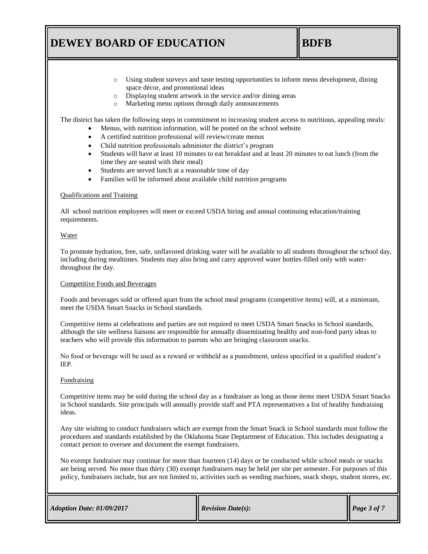## **BDFB**

- o Using student surveys and taste testing opportunities to inform menu development, dining space décor, and promotional ideas
- o Displaying student artwork in the service and/or dining areas
- o Marketing menu options through daily announcements

The district has taken the following steps in commitment to increasing student access to nutritious, appealing meals:

- Menus, with nutrition information, will be posted on the school website
- A certified nutrition professional will review/create menus
- Child nutrition professionals administer the district's program
- Students will have at least 10 minutes to eat breakfast and at least 20 minutes to eat lunch (from the time they are seated with their meal)
- Students are served lunch at a reasonable time of day
- Families will be informed about available child nutrition programs

## Qualifications and Training

All school nutrition employees will meet or exceed USDA hiring and annual continuing education/training requirements.

## Water

To promote hydration, free, safe, unflavored drinking water will be available to all students throughout the school day, including during mealtimes. Students may also bring and carry approved water bottles-filled only with waterthroughout the day.

## Competitive Foods and Beverages

Foods and beverages sold or offered apart from the school meal programs (competitive items) will, at a minimum, meet the USDA Smart Snacks in School standards.

Competitive items at celebrations and parties are not required to meet USDA Smart Snacks in School standards, although the site wellness liaisons are responsible for annually disseminating healthy and non-food party ideas to teachers who will provide this information to parents who are bringing classroom snacks.

No food or beverage will be used as a reward or withheld as a punishment, unless specified in a qualified student's IEP.

## Fundraising

Competitive items may be sold during the school day as a fundraiser as long as those items meet USDA Smart Snacks in School standards. Site principals will annually provide staff and PTA representatives a list of healthy fundraising ideas.

Any site wishing to conduct fundraisers which are exempt from the Smart Snack in School standards must follow the procedures and standards established by the Oklahoma State Deptartment of Education. This includes designating a contact person to oversee and document the exempt fundraisers.

No exempt fundraiser may continue for more than fourteen (14) days or be conducted while school meals or snacks are being served. No more than thirty (30) exempt fundraisers may be held per site per semester. For purposes of this policy, fundraisers include, but are not limited to, activities such as vending machines, snack shops, student stores, etc.

|  | <b>Adoption Date: 01/09/2017</b> |
|--|----------------------------------|
|  |                                  |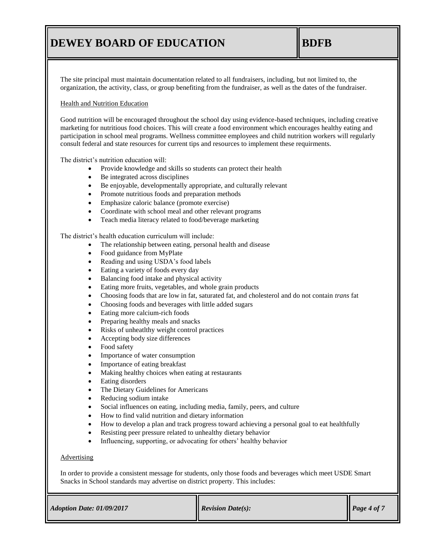The site principal must maintain documentation related to all fundraisers, including, but not limited to, the organization, the activity, class, or group benefiting from the fundraiser, as well as the dates of the fundraiser.

## Health and Nutrition Education

Good nutrition will be encouraged throughout the school day using evidence-based techniques, including creative marketing for nutritious food choices. This will create a food environment which encourages healthy eating and participation in school meal programs. Wellness committee employees and child nutrition workers will regularly consult federal and state resources for current tips and resources to implement these requirments.

The district's nutrition education will:

- Provide knowledge and skills so students can protect their health
- Be integrated across disciplines
- Be enjoyable, developmentally appropriate, and culturally relevant
- Promote nutritious foods and preparation methods
- Emphasize caloric balance (promote exercise)
- Coordinate with school meal and other relevant programs
- Teach media literacy related to food/beverage marketing

The district's health education curriculum will include:

- The relationship between eating, personal health and disease
- Food guidance from MyPlate
- Reading and using USDA's food labels
- Eating a variety of foods every day
- Balancing food intake and physical activity
- Eating more fruits, vegetables, and whole grain products
- Choosing foods that are low in fat, saturated fat, and cholesterol and do not contain *trans* fat
- Choosing foods and beverages with little added sugars
- Eating more calcium-rich foods
- Preparing healthy meals and snacks
- Risks of unheatlthy weight control practices
- Accepting body size differences
- Food safety
- Importance of water consumption
- Importance of eating breakfast
- Making healthy choices when eating at restaurants
- Eating disorders
- The Dietary Guidelines for Americans
- Reducing sodium intake
- Social influences on eating, including media, family, peers, and culture
- How to find valid nutrition and dietary information
- How to develop a plan and track progress toward achieving a personal goal to eat healthfully
- Resisting peer pressure related to unhealthy dietary behavior
- Influencing, supporting, or advocating for others' healthy behavior

### **Advertising**

In order to provide a consistent message for students, only those foods and beverages which meet USDE Smart Snacks in School standards may advertise on district property. This includes:

|  | $Adoption$ Date: $01/09/2017$ |
|--|-------------------------------|
|  |                               |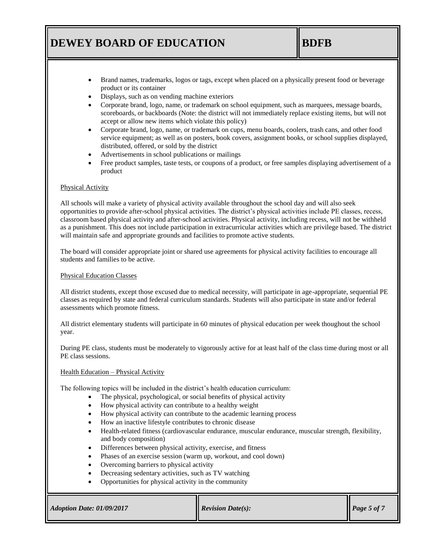## **BDFB**

- Brand names, trademarks, logos or tags, except when placed on a physically present food or beverage product or its container
- Displays, such as on vending machine exteriors
- Corporate brand, logo, name, or trademark on school equipment, such as marquees, message boards, scoreboards, or backboards (Note: the district will not immediately replace existing items, but will not accept or allow new items which violate this policy)
- Corporate brand, logo, name, or trademark on cups, menu boards, coolers, trash cans, and other food service equipment; as well as on posters, book covers, assignment books, or school supplies displayed, distributed, offered, or sold by the district
- Advertisements in school publications or mailings
- Free product samples, taste tests, or coupons of a product, or free samples displaying advertisement of a product

## Physical Activity

All schools will make a variety of physical activity available throughout the school day and will also seek opportunities to provide after-school physical activities. The district's physical activities include PE classes, recess, classroom based physical activity and after-school activities. Physical activity, including recess, will not be withheld as a punishment. This does not include participation in extracurricular activities which are privilege based. The district will maintain safe and appropriate grounds and facilities to promote active students.

The board will consider appropriate joint or shared use agreements for physical activity facilities to encourage all students and families to be active.

## Physical Education Classes

All district students, except those excused due to medical necessity, will participate in age-appropriate, sequential PE classes as required by state and federal curriculum standards. Students will also participate in state and/or federal assessments which promote fitness.

All district elementary students will participate in 60 minutes of physical education per week thoughout the school year.

During PE class, students must be moderately to vigorously active for at least half of the class time during most or all PE class sessions.

## Health Education – Physical Activity

The following topics will be included in the district's health education curriculum:

- The physical, psychological, or social benefits of physical activity
- How physical activity can contribute to a healthy weight
- How physical activity can contribute to the academic learning process
- How an inactive lifestyle contributes to chronic disease
- Health-related fitness (cardiovascular endurance, muscular endurance, muscular strength, flexibility, and body composition)
- Differences between physical activity, exercise, and fitness
- Phases of an exercise session (warm up, workout, and cool down)
- Overcoming barriers to physical activity
- Decreasing sedentary activities, such as TV watching
- Opportunities for physical activity in the community

| <b>Adoption Date: 01/09/2017</b> | <b>Revision Date(s):</b> | $\lvert$ Page 5 of 7 |
|----------------------------------|--------------------------|----------------------|
|                                  |                          |                      |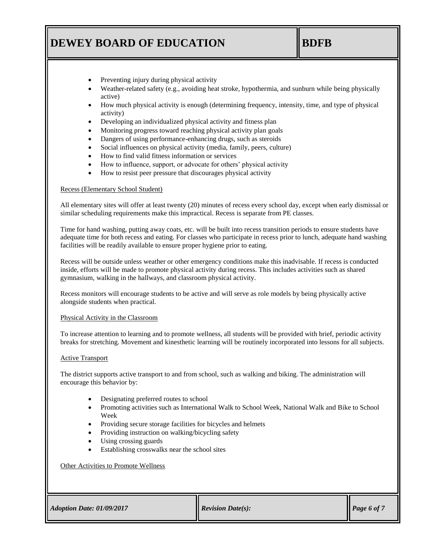# **BDFB**

- Preventing injury during physical activity
- Weather-related safety (e.g., avoiding heat stroke, hypothermia, and sunburn while being physically active)
- How much physical activity is enough (determining frequency, intensity, time, and type of physical activity)
- Developing an individualized physical activity and fitness plan
- Monitoring progress toward reaching physical activity plan goals
- Dangers of using performance-enhancing drugs, such as steroids
- Social influences on physical activity (media, family, peers, culture)
- How to find valid fitness information or services
- How to influence, support, or advocate for others' physical activity
- How to resist peer pressure that discourages physical activity

### Recess (Elementary School Student)

All elementary sites will offer at least twenty (20) minutes of recess every school day, except when early dismissal or similar scheduling requirements make this impractical. Recess is separate from PE classes.

Time for hand washing, putting away coats, etc. will be built into recess transition periods to ensure students have adequate time for both recess and eating. For classes who participate in recess prior to lunch, adequate hand washing facilities will be readily available to ensure proper hygiene prior to eating.

Recess will be outside unless weather or other emergency conditions make this inadvisable. If recess is conducted inside, efforts will be made to promote physical activity during recess. This includes activities such as shared gymnasium, walking in the hallways, and classroom physical activity.

Recess monitors will encourage students to be active and will serve as role models by being physically active alongside students when practical.

### Physical Activity in the Classroom

To increase attention to learning and to promote wellness, all students will be provided with brief, periodic activity breaks for stretching. Movement and kinesthetic learning will be routinely incorporated into lessons for all subjects.

### Active Transport

The district supports active transport to and from school, such as walking and biking. The administration will encourage this behavior by:

- Designating preferred routes to school
- Promoting activities such as International Walk to School Week, National Walk and Bike to School Week
- Providing secure storage facilities for bicycles and helmets
- Providing instruction on walking/bicycling safety
- Using crossing guards
- Establishing crosswalks near the school sites

### Other Activities to Promote Wellness

| Adoption Date: 01/09/2017 |  |
|---------------------------|--|
|---------------------------|--|